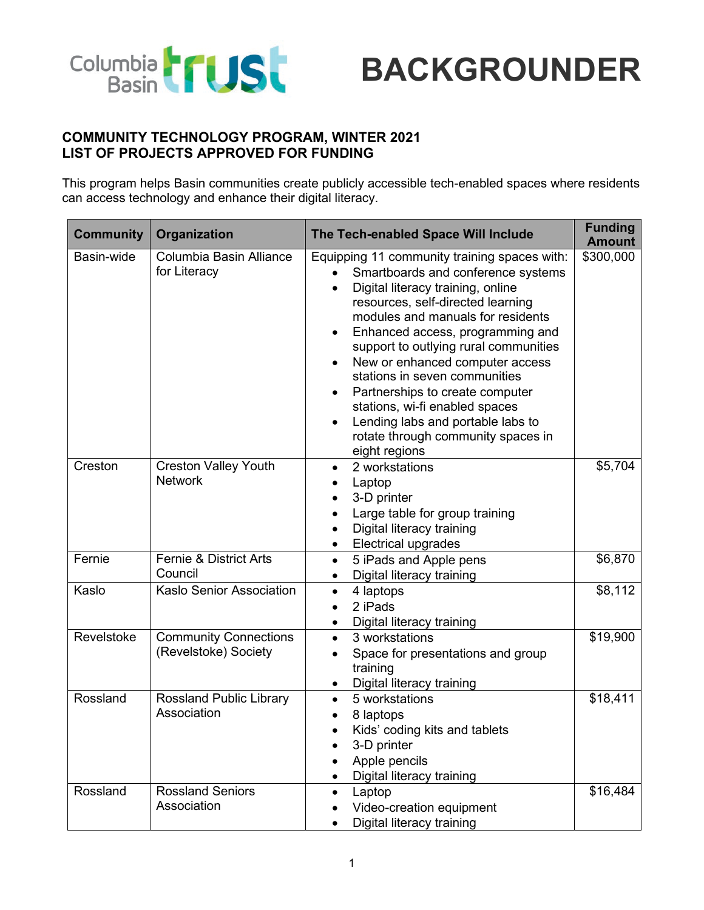

## **BACKGROUNDER**

## **COMMUNITY TECHNOLOGY PROGRAM, WINTER 2021 LIST OF PROJECTS APPROVED FOR FUNDING**

This program helps Basin communities create publicly accessible tech-enabled spaces where residents can access technology and enhance their digital literacy.

| <b>Community</b> | Organization                                         | The Tech-enabled Space Will Include                                                                                                                                                                                                                                                                                                                                                                                                                                                                                                           | <b>Funding</b><br><b>Amount</b> |
|------------------|------------------------------------------------------|-----------------------------------------------------------------------------------------------------------------------------------------------------------------------------------------------------------------------------------------------------------------------------------------------------------------------------------------------------------------------------------------------------------------------------------------------------------------------------------------------------------------------------------------------|---------------------------------|
| Basin-wide       | Columbia Basin Alliance<br>for Literacy              | Equipping 11 community training spaces with:<br>Smartboards and conference systems<br>Digital literacy training, online<br>$\bullet$<br>resources, self-directed learning<br>modules and manuals for residents<br>Enhanced access, programming and<br>support to outlying rural communities<br>New or enhanced computer access<br>$\bullet$<br>stations in seven communities<br>Partnerships to create computer<br>stations, wi-fi enabled spaces<br>Lending labs and portable labs to<br>rotate through community spaces in<br>eight regions | \$300,000                       |
| Creston          | <b>Creston Valley Youth</b><br><b>Network</b>        | 2 workstations<br>$\bullet$<br>Laptop<br>٠<br>3-D printer<br>Large table for group training<br>Digital literacy training<br><b>Electrical upgrades</b><br>$\bullet$                                                                                                                                                                                                                                                                                                                                                                           | \$5,704                         |
| Fernie           | <b>Fernie &amp; District Arts</b><br>Council         | 5 iPads and Apple pens<br>$\bullet$<br>Digital literacy training<br>$\bullet$                                                                                                                                                                                                                                                                                                                                                                                                                                                                 | \$6,870                         |
| Kaslo            | Kaslo Senior Association                             | 4 laptops<br>$\bullet$<br>2 iPads<br>Digital literacy training<br>$\bullet$                                                                                                                                                                                                                                                                                                                                                                                                                                                                   | \$8,112                         |
| Revelstoke       | <b>Community Connections</b><br>(Revelstoke) Society | 3 workstations<br>$\bullet$<br>Space for presentations and group<br>training<br>Digital literacy training                                                                                                                                                                                                                                                                                                                                                                                                                                     | \$19,900                        |
| Rossland         | <b>Rossland Public Library</b><br>Association        | 5 workstations<br>$\bullet$<br>8 laptops<br>Kids' coding kits and tablets<br>3-D printer<br>Apple pencils<br>Digital literacy training                                                                                                                                                                                                                                                                                                                                                                                                        | \$18,411                        |
| Rossland         | <b>Rossland Seniors</b><br>Association               | Laptop<br>$\bullet$<br>Video-creation equipment<br>Digital literacy training                                                                                                                                                                                                                                                                                                                                                                                                                                                                  | $\overline{$}16,484$            |